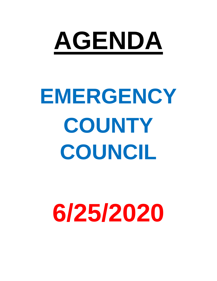

# **EMERGENCY COUNTY COUNCIL**

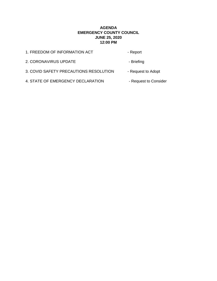#### **AGENDA EMERGENCY COUNTY COUNCIL JUNE 25, 2020 12:00 PM**

<span id="page-1-0"></span>

| 1. FREEDOM OF INFORMATION ACT          | - Report              |
|----------------------------------------|-----------------------|
| 2. CORONAVIRUS UPDATE                  | - Briefing            |
| 3. COVID SAFETY PRECAUTIONS RESOLUTION | - Request to Adopt    |
| 4. STATE OF EMERGENCY DECLARATION      | - Request to Consider |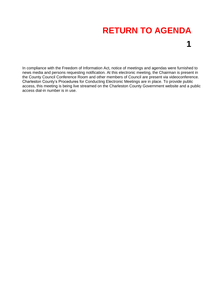<span id="page-2-0"></span>In compliance with the Freedom of Information Act, notice of meetings and agendas were furnished to news media and persons requesting notification. At this electronic meeting, the Chairman is present in the County Council Conference Room and other members of Council are present via videoconference. Charleston County's Procedures for Conducting Electronic Meetings are in place. To provide public access, this meeting is being live streamed on the Charleston County Government website and a public access dial-in number is in use.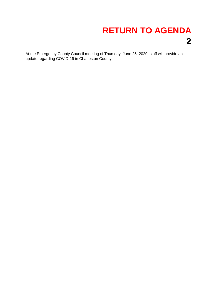<span id="page-3-0"></span>At the Emergency County Council meeting of Thursday, June 25, 2020, staff will provide an update regarding COVID-19 in Charleston County.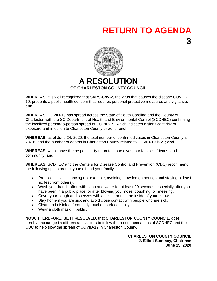**3**

<span id="page-4-0"></span>

**WHEREAS**, it is well recognized that SARS-CoV-2, the virus that causes the disease COVID-19, presents a public health concern that requires personal protective measures and vigilance; **and,**

**WHEREAS,** COVID-19 has spread across the State of South Carolina and the County of Charleston with the SC Department of Health and Environmental Control (SCDHEC) confirming the localized person-to-person spread of COVID-19, which indicates a significant risk of exposure and infection to Charleston County citizens; **and,**

**WHEREAS,** as of June 24, 2020, the total number of confirmed cases in Charleston County is 2,416, and the number of deaths in Charleston County related to COVID-19 is 21; **and,**

**WHEREAS,** we all have the responsibility to protect ourselves, our families, friends, and community; **and,**

**WHEREAS,** SCDHEC and the Centers for Disease Control and Prevention (CDC) recommend the following tips to protect yourself and your family:

- Practice social distancing (for example, avoiding crowded gatherings and staying at least six feet from others).
- Wash your hands often with soap and water for at least 20 seconds, especially after you have been in a public place, or after blowing your nose, coughing, or sneezing.
- Cover your cough and sneezes with a tissue or use the inside of your elbow.
- Stay home if you are sick and avoid close contact with people who are sick.
- Clean and disinfect frequently touched surfaces daily.
- Wear a cloth mask in public.

**NOW, THEREFORE, BE IT RESOLVED**, that **CHARLESTON COUNTY COUNCIL,** does hereby encourage its citizens and visitors to follow the recommendations of SCDHEC and the CDC to help slow the spread of COVID-19 in Charleston County.

> **CHARLESTON COUNTY COUNCIL J. Elliott Summey, Chairman June 25, 2020**